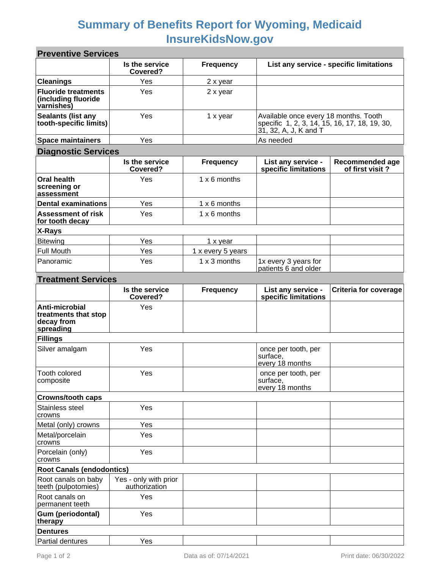## **Summary of Benefits Report for Wyoming, Medicaid InsureKidsNow.gov**

| <b>Preventive Services</b>                                        |                                        |                   |                                                                                                                 |                                    |  |  |
|-------------------------------------------------------------------|----------------------------------------|-------------------|-----------------------------------------------------------------------------------------------------------------|------------------------------------|--|--|
|                                                                   | Is the service<br>Covered?             | <b>Frequency</b>  | List any service - specific limitations                                                                         |                                    |  |  |
| <b>Cleanings</b>                                                  | Yes                                    | 2 x year          |                                                                                                                 |                                    |  |  |
| <b>Fluoride treatments</b><br>(including fluoride<br>varnishes)   | Yes                                    | 2 x year          |                                                                                                                 |                                    |  |  |
| <b>Sealants (list any</b><br>tooth-specific limits)               | Yes                                    | 1 x year          | Available once every 18 months. Tooth<br>specific 1, 2, 3, 14, 15, 16, 17, 18, 19, 30,<br>31, 32, A, J, K and T |                                    |  |  |
| <b>Space maintainers</b>                                          | Yes                                    |                   | As needed                                                                                                       |                                    |  |  |
| <b>Diagnostic Services</b>                                        |                                        |                   |                                                                                                                 |                                    |  |  |
|                                                                   | Is the service<br>Covered?             | <b>Frequency</b>  | List any service -<br>specific limitations                                                                      | Recommended age<br>of first visit? |  |  |
| <b>Oral health</b><br>screening or<br>assessment                  | Yes                                    | 1 x 6 months      |                                                                                                                 |                                    |  |  |
| <b>Dental examinations</b>                                        | Yes                                    | 1 x 6 months      |                                                                                                                 |                                    |  |  |
| <b>Assessment of risk</b><br>for tooth decay                      | Yes                                    | 1 x 6 months      |                                                                                                                 |                                    |  |  |
| X-Rays                                                            |                                        |                   |                                                                                                                 |                                    |  |  |
| <b>Bitewing</b>                                                   | Yes                                    | 1 x year          |                                                                                                                 |                                    |  |  |
| <b>Full Mouth</b>                                                 | Yes                                    | 1 x every 5 years |                                                                                                                 |                                    |  |  |
| Panoramic                                                         | Yes                                    | 1 x 3 months      | 1x every 3 years for<br>patients 6 and older                                                                    |                                    |  |  |
| <b>Treatment Services</b>                                         |                                        |                   |                                                                                                                 |                                    |  |  |
|                                                                   | Is the service<br>Covered?             | <b>Frequency</b>  | List any service -<br>specific limitations                                                                      | <b>Criteria for coverage</b>       |  |  |
| Anti-microbial<br>treatments that stop<br>decay from<br>spreading | Yes                                    |                   |                                                                                                                 |                                    |  |  |
| <b>Fillings</b>                                                   |                                        |                   |                                                                                                                 |                                    |  |  |
| Silver amalgam                                                    | Yes                                    |                   | once per tooth, per<br>surface,<br>every 18 months                                                              |                                    |  |  |
| Tooth colored<br>composite                                        | Yes                                    |                   | once per tooth, per<br>surface,<br>every 18 months                                                              |                                    |  |  |
| <b>Crowns/tooth caps</b>                                          |                                        |                   |                                                                                                                 |                                    |  |  |
| Stainless steel<br>crowns                                         | Yes                                    |                   |                                                                                                                 |                                    |  |  |
| Metal (only) crowns                                               | Yes                                    |                   |                                                                                                                 |                                    |  |  |
| Metal/porcelain<br>crowns                                         | Yes                                    |                   |                                                                                                                 |                                    |  |  |
| Porcelain (only)<br>crowns                                        | Yes                                    |                   |                                                                                                                 |                                    |  |  |
| <b>Root Canals (endodontics)</b>                                  |                                        |                   |                                                                                                                 |                                    |  |  |
| Root canals on baby<br>teeth (pulpotomies)                        | Yes - only with prior<br>authorization |                   |                                                                                                                 |                                    |  |  |
| Root canals on<br>permanent teeth                                 | Yes                                    |                   |                                                                                                                 |                                    |  |  |
| Gum (periodontal)<br>therapy                                      | Yes                                    |                   |                                                                                                                 |                                    |  |  |
| <b>Dentures</b>                                                   |                                        |                   |                                                                                                                 |                                    |  |  |
| Partial dentures                                                  | Yes                                    |                   |                                                                                                                 |                                    |  |  |

×